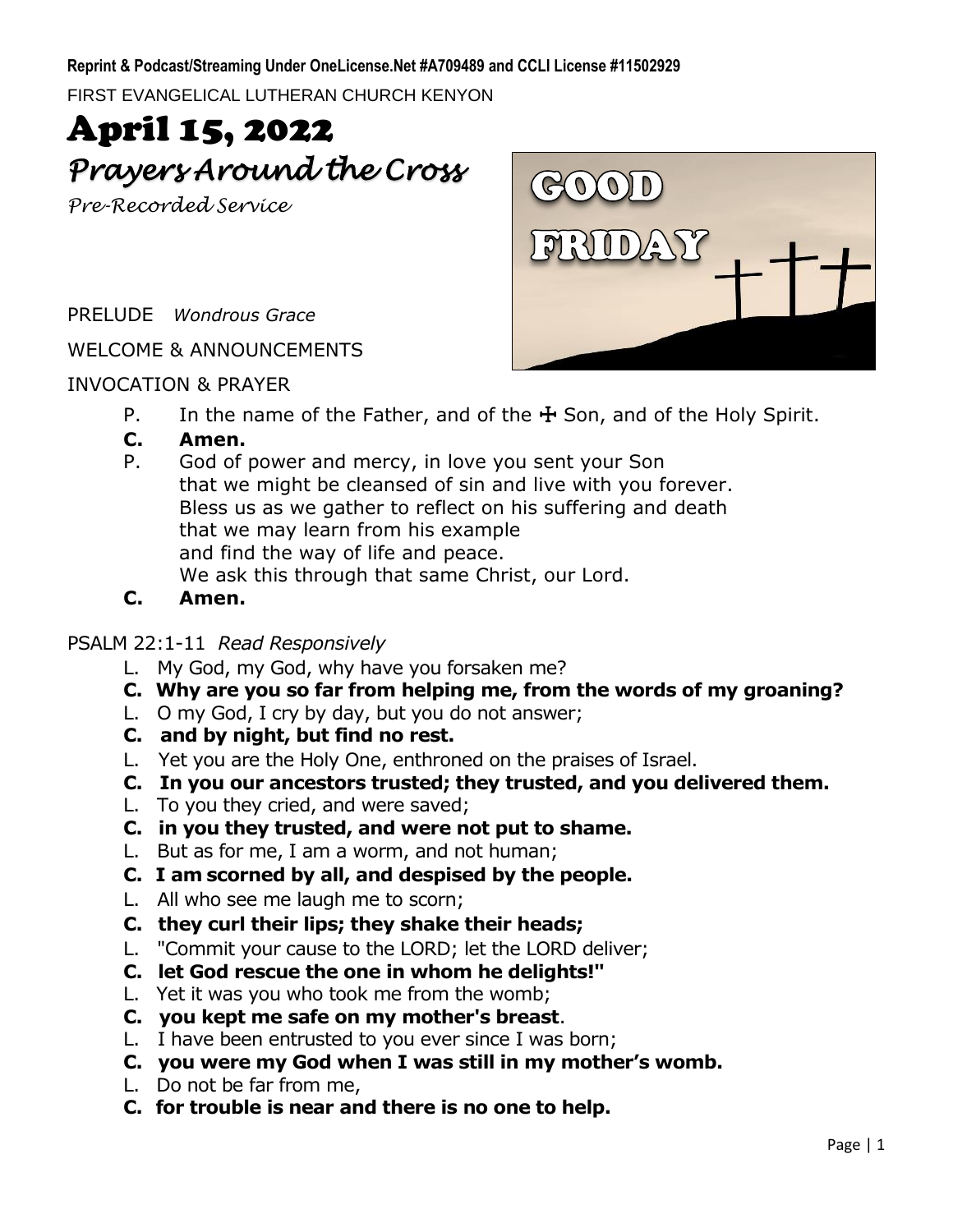**Reprint & Podcast/Streaming Under OneLicense.Net #A709489 and CCLI License #11502929**

FIRST EVANGELICAL LUTHERAN CHURCH KENYON

# April 15, 2022 *Prayers Around the Cross*

*Pre-Recorded Service*



PRELUDE *Wondrous Grace* 

WELCOME & ANNOUNCEMENTS

## INVOCATION & PRAYER

- P. In the name of the Father, and of the  $\frac{1}{2}$  Son, and of the Holy Spirit.
- **C. Amen.**
- P. God of power and mercy, in love you sent your Son that we might be cleansed of sin and live with you forever. Bless us as we gather to reflect on his suffering and death that we may learn from his example and find the way of life and peace. We ask this through that same Christ, our Lord.
- **C. Amen.**

### PSALM 22:1-11 *Read Responsively*

- L. My God, my God, why have you forsaken me?
- **C. Why are you so far from helping me, from the words of my groaning?**
- L. O my God, I cry by day, but you do not answer;
- **C. and by night, but find no rest.**
- L. Yet you are the Holy One, enthroned on the praises of Israel.
- **C. In you our ancestors trusted; they trusted, and you delivered them.**
- L. To you they cried, and were saved;
- **C. in you they trusted, and were not put to shame.**
- L. But as for me, I am a worm, and not human;
- **C. I am scorned by all, and despised by the people.**
- L. All who see me laugh me to scorn;
- **C. they curl their lips; they shake their heads;**
- L. "Commit your cause to the LORD; let the LORD deliver;
- **C. let God rescue the one in whom he delights!"**
- L. Yet it was you who took me from the womb;
- **C. you kept me safe on my mother's breast**.
- L. I have been entrusted to you ever since I was born;
- **C. you were my God when I was still in my mother's womb.**
- L. Do not be far from me,
- **C. for trouble is near and there is no one to help.**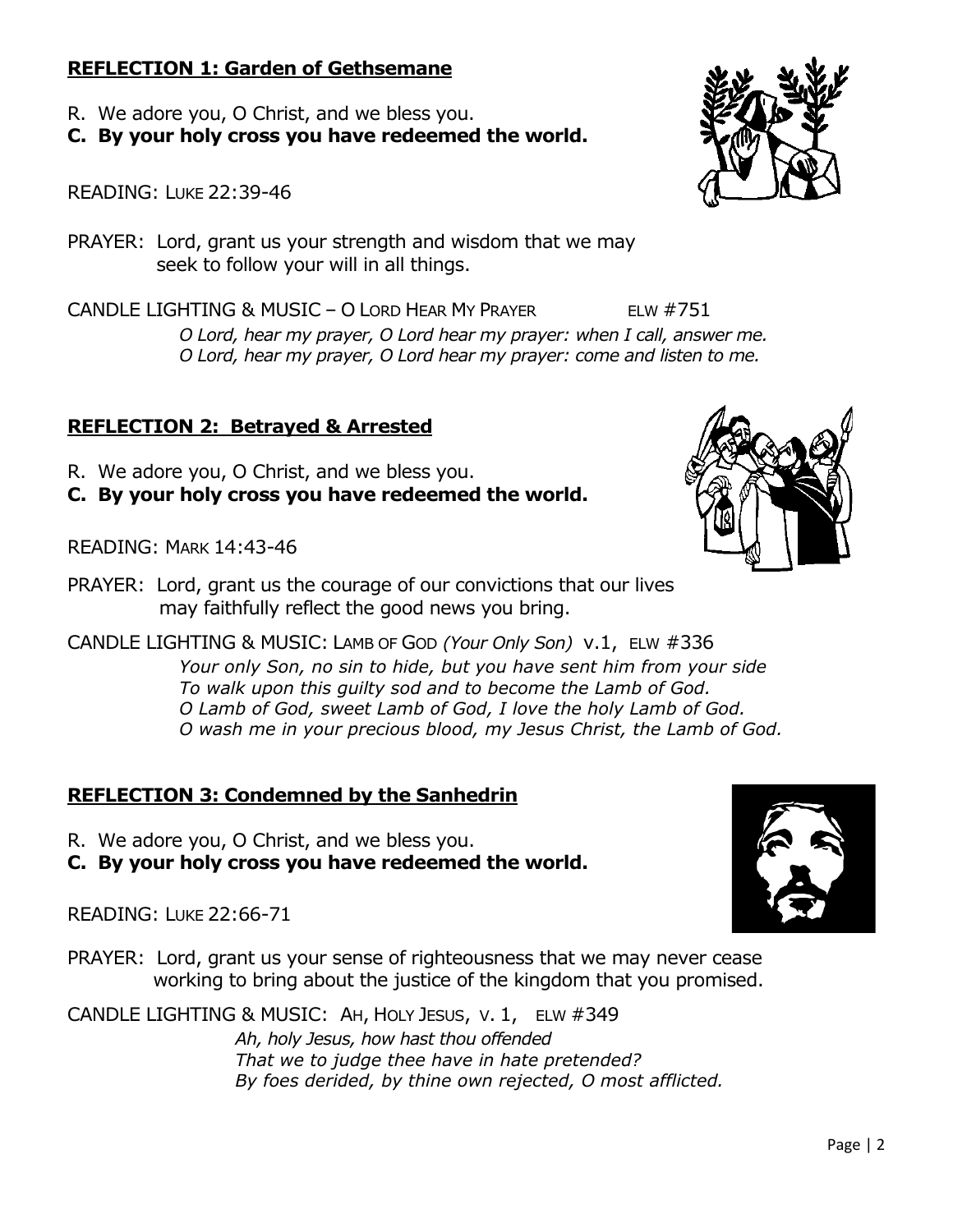## **REFLECTION 1: Garden of Gethsemane**

R. We adore you, O Christ, and we bless you.

**C. By your holy cross you have redeemed the world.**

READING: LUKE 22:39-46

PRAYER: Lord, grant us your strength and wisdom that we may seek to follow your will in all things.

CANDLE LIGHTING & MUSIC – O LORD HEAR MY PRAYER ELW #751 *O Lord, hear my prayer, O Lord hear my prayer: when I call, answer me. O Lord, hear my prayer, O Lord hear my prayer: come and listen to me.*

## **REFLECTION 2: Betrayed & Arrested**

- R. We adore you, O Christ, and we bless you.
- **C. By your holy cross you have redeemed the world.**
- READING: MARK 14:43-46
- PRAYER: Lord, grant us the courage of our convictions that our lives may faithfully reflect the good news you bring.

CANDLE LIGHTING & MUSIC: LAMB OF GOD *(Your Only Son)* v.1, ELW #336

*Your only Son, no sin to hide, but you have sent him from your side To walk upon this guilty sod and to become the Lamb of God. O Lamb of God, sweet Lamb of God, I love the holy Lamb of God. O wash me in your precious blood, my Jesus Christ, the Lamb of God.*

## **REFLECTION 3: Condemned by the Sanhedrin**

R. We adore you, O Christ, and we bless you.

**C. By your holy cross you have redeemed the world.**

READING: LUKE 22:66-71

PRAYER: Lord, grant us your sense of righteousness that we may never cease working to bring about the justice of the kingdom that you promised.

CANDLE LIGHTING & MUSIC: AH, HOLY JESUS, V. 1, ELW #349 *Ah, holy Jesus, how hast thou offended That we to judge thee have in hate pretended? By foes derided, by thine own rejected, O most afflicted.*





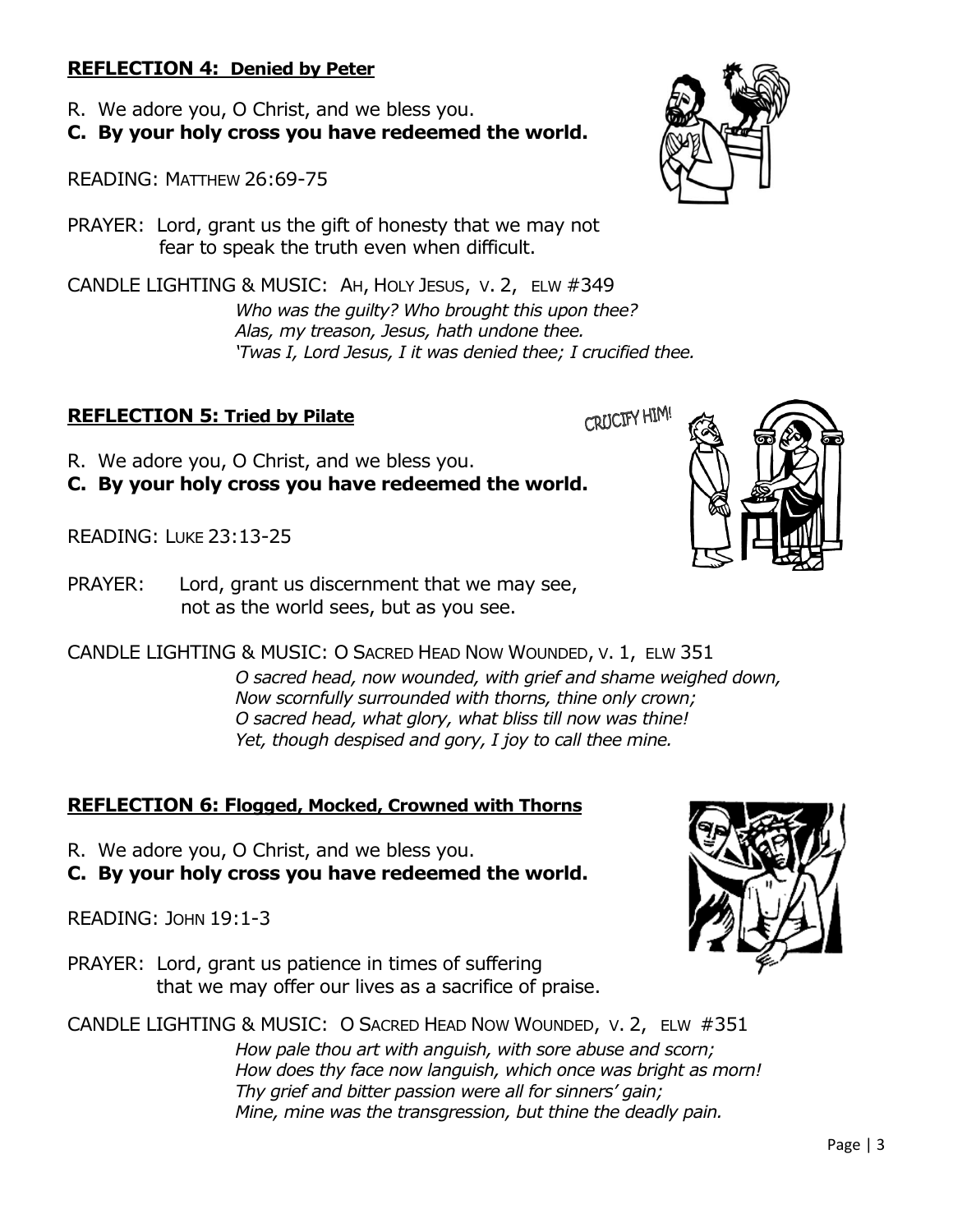## **REFLECTION 4: Denied by Peter**

R. We adore you, O Christ, and we bless you.

**C. By your holy cross you have redeemed the world.**

READING: MATTHEW 26:69-75

PRAYER: Lord, grant us the gift of honesty that we may not fear to speak the truth even when difficult.

CANDLE LIGHTING & MUSIC: AH, HOLY JESUS, V. 2, ELW #349 *Who was the guilty? Who brought this upon thee? Alas, my treason, Jesus, hath undone thee. 'Twas I, Lord Jesus, I it was denied thee; I crucified thee.*

## **REFLECTION 5: Tried by Pilate**

- R. We adore you, O Christ, and we bless you.
- **C. By your holy cross you have redeemed the world.**
- READING: LUKE 23:13-25
- PRAYER: Lord, grant us discernment that we may see, not as the world sees, but as you see.
- CANDLE LIGHTING & MUSIC: O SACRED HEAD NOW WOUNDED, V. 1, ELW 351

*O sacred head, now wounded, with grief and shame weighed down, Now scornfully surrounded with thorns, thine only crown; O sacred head, what glory, what bliss till now was thine! Yet, though despised and gory, I joy to call thee mine.*

## **REFLECTION 6: Flogged, Mocked, Crowned with Thorns**

- R. We adore you, O Christ, and we bless you.
- **C. By your holy cross you have redeemed the world.**

READING: JOHN 19:1-3

PRAYER: Lord, grant us patience in times of suffering that we may offer our lives as a sacrifice of praise.

CANDLE LIGHTING & MUSIC: O SACRED HEAD NOW WOUNDED, V. 2, ELW #351

*How pale thou art with anguish, with sore abuse and scorn; How does thy face now languish, which once was bright as morn! Thy grief and bitter passion were all for sinners' gain; Mine, mine was the transgression, but thine the deadly pain.*









CRUCIFY HIM!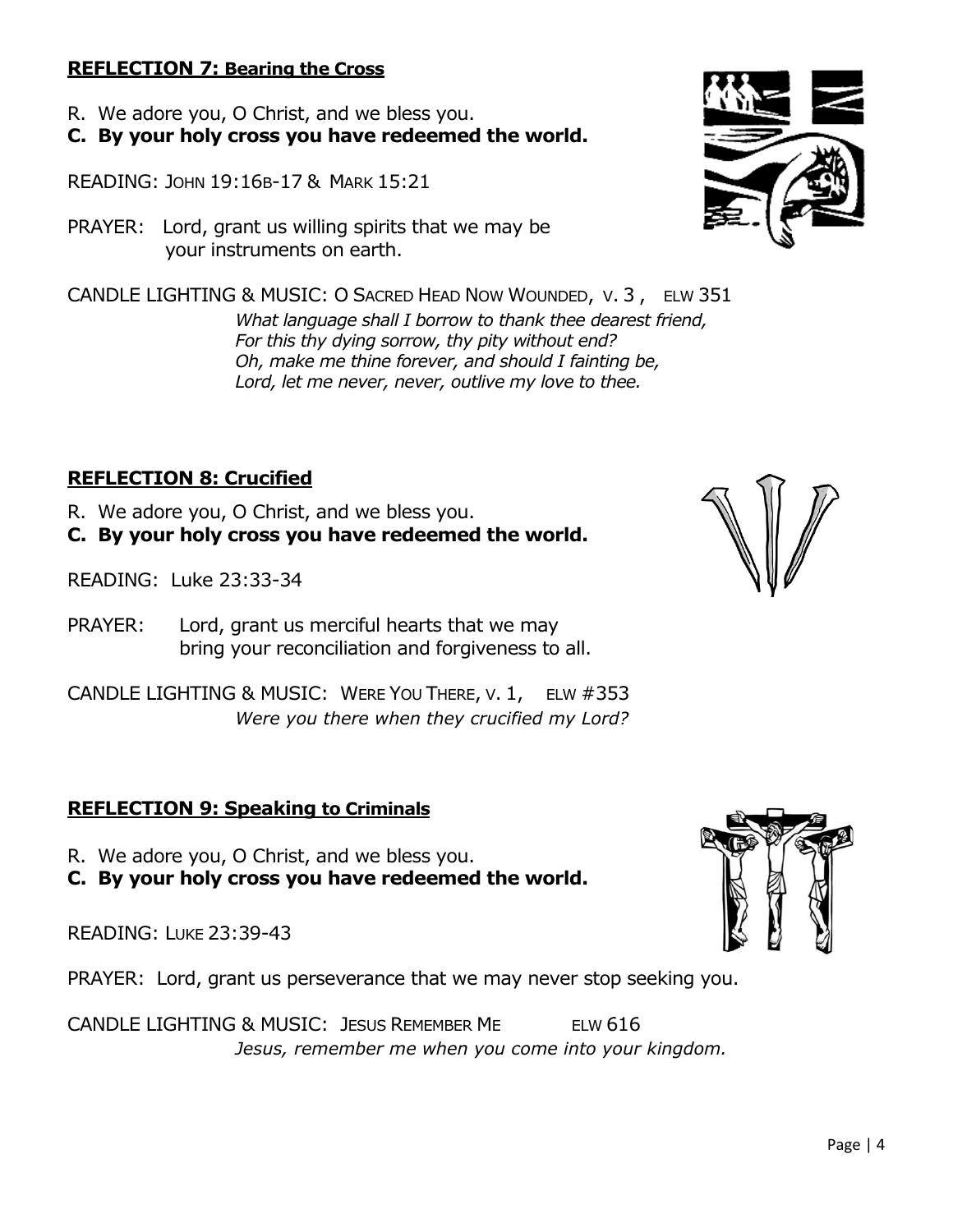## **REFLECTION 7: Bearing the Cross**

R. We adore you, O Christ, and we bless you.

**C. By your holy cross you have redeemed the world.**

READING: JOHN 19:16B-17 & MARK 15:21

PRAYER: Lord, grant us willing spirits that we may be your instruments on earth.

CANDLE LIGHTING & MUSIC: O SACRED HEAD NOW WOUNDED, V. 3 , ELW 351 *What language shall I borrow to thank thee dearest friend, For this thy dying sorrow, thy pity without end? Oh, make me thine forever, and should I fainting be, Lord, let me never, never, outlive my love to thee.*

## **REFLECTION 8: Crucified**

- R. We adore you, O Christ, and we bless you.
- **C. By your holy cross you have redeemed the world.**
- READING: Luke 23:33-34
- PRAYER: Lord, grant us merciful hearts that we may bring your reconciliation and forgiveness to all.
- CANDLE LIGHTING & MUSIC: WERE YOU THERE, V. 1, ELW #353 *Were you there when they crucified my Lord?*

### **REFLECTION 9: Speaking to Criminals**

- R. We adore you, O Christ, and we bless you.
- **C. By your holy cross you have redeemed the world.**

READING: LUKE 23:39-43

PRAYER: Lord, grant us perseverance that we may never stop seeking you.

CANDLE LIGHTING & MUSIC: JESUS REMEMBER ME ELW 616 *Jesus, remember me when you come into your kingdom.*





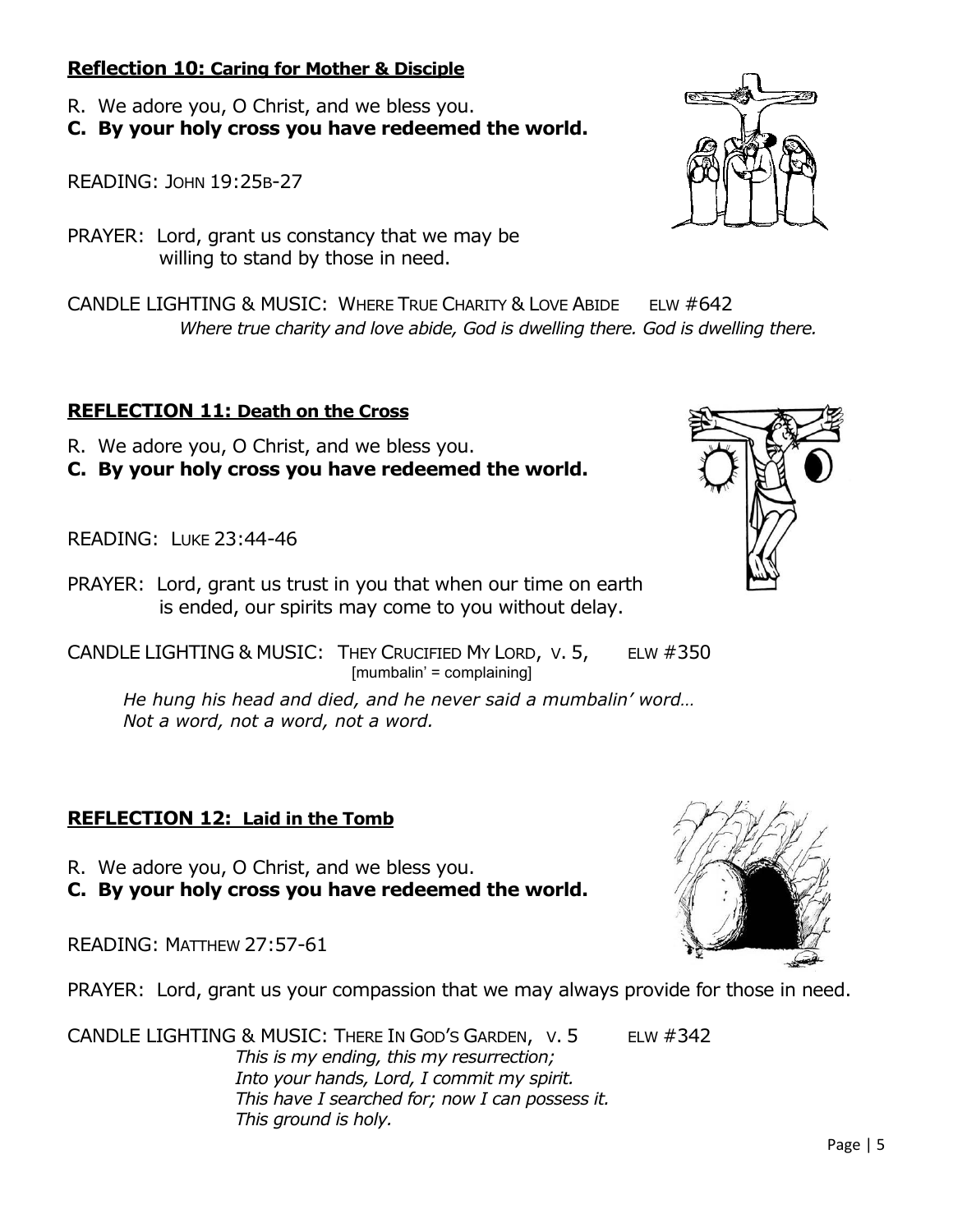## **Reflection 10: Caring for Mother & Disciple**

- R. We adore you, O Christ, and we bless you.
- **C. By your holy cross you have redeemed the world.**
- READING: JOHN 19:25B-27
- PRAYER: Lord, grant us constancy that we may be willing to stand by those in need.
- CANDLE LIGHTING & MUSIC: WHERE TRUE CHARITY & LOVE ABIDE FLW  $#642$ *Where true charity and love abide, God is dwelling there. God is dwelling there.*

## **REFLECTION 11: Death on the Cross**

- R. We adore you, O Christ, and we bless you.
- **C. By your holy cross you have redeemed the world.**
- READING: LUKE 23:44-46
- PRAYER: Lord, grant us trust in you that when our time on earth is ended, our spirits may come to you without delay.
- CANDLE LIGHTING & MUSIC: THEY CRUCIFIED MY LORD, V. 5, ELW #350 [mumbalin' = complaining]

*He hung his head and died, and he never said a mumbalin' word… Not a word, not a word, not a word.*

# **REFLECTION 12: Laid in the Tomb**

- R. We adore you, O Christ, and we bless you.
- **C. By your holy cross you have redeemed the world.**

READING: MATTHEW 27:57-61

PRAYER: Lord, grant us your compassion that we may always provide for those in need.

CANDLE LIGHTING & MUSIC: THERE IN GOD'S GARDEN, V. 5 ELW #342 *This is my ending, this my resurrection; Into your hands, Lord, I commit my spirit. This have I searched for; now I can possess it. This ground is holy.*